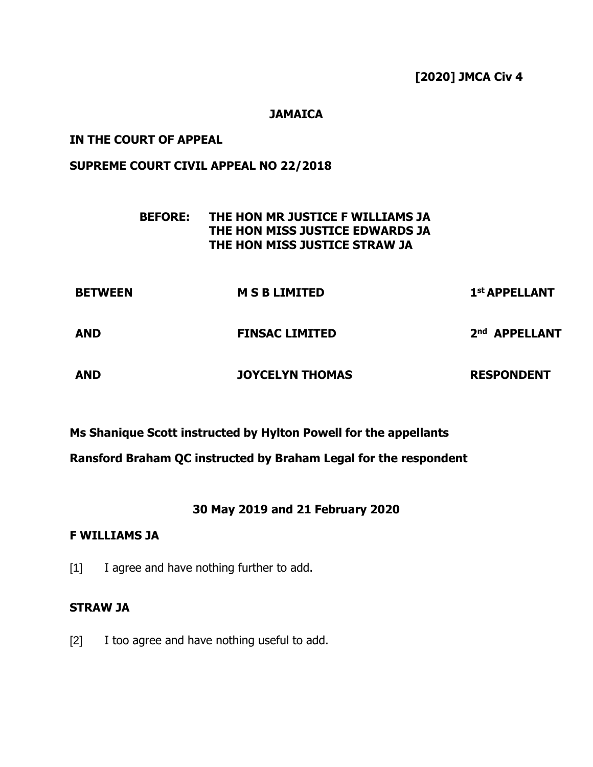**[2020] JMCA Civ 4**

## **JAMAICA**

## **IN THE COURT OF APPEAL**

## **SUPREME COURT CIVIL APPEAL NO 22/2018**

# **BEFORE: THE HON MR JUSTICE F WILLIAMS JA THE HON MISS JUSTICE EDWARDS JA THE HON MISS JUSTICE STRAW JA**

| <b>BETWEEN</b> | <b>MSBLIMITED</b>      | 1st APPELLANT             |
|----------------|------------------------|---------------------------|
| <b>AND</b>     | <b>FINSAC LIMITED</b>  | 2 <sup>nd</sup> APPELLANT |
| <b>AND</b>     | <b>JOYCELYN THOMAS</b> | <b>RESPONDENT</b>         |

**Ms Shanique Scott instructed by Hylton Powell for the appellants**

**Ransford Braham QC instructed by Braham Legal for the respondent**

# **30 May 2019 and 21 February 2020**

### **F WILLIAMS JA**

[1] I agree and have nothing further to add.

## **STRAW JA**

[2] I too agree and have nothing useful to add.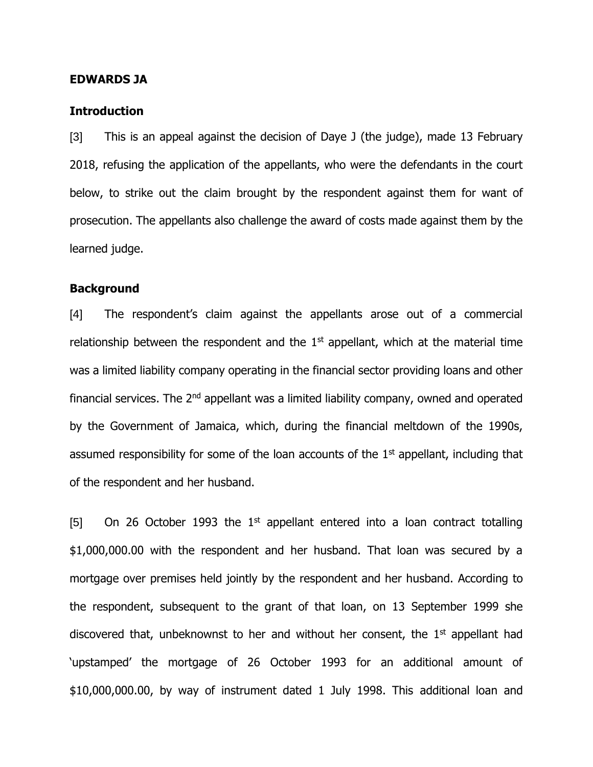### **EDWARDS JA**

### **Introduction**

[3] This is an appeal against the decision of Daye J (the judge), made 13 February 2018, refusing the application of the appellants, who were the defendants in the court below, to strike out the claim brought by the respondent against them for want of prosecution. The appellants also challenge the award of costs made against them by the learned judge.

## **Background**

[4] The respondent's claim against the appellants arose out of a commercial relationship between the respondent and the  $1<sup>st</sup>$  appellant, which at the material time was a limited liability company operating in the financial sector providing loans and other financial services. The  $2<sup>nd</sup>$  appellant was a limited liability company, owned and operated by the Government of Jamaica, which, during the financial meltdown of the 1990s, assumed responsibility for some of the loan accounts of the  $1<sup>st</sup>$  appellant, including that of the respondent and her husband.

[5] On 26 October 1993 the 1<sup>st</sup> appellant entered into a loan contract totalling \$1,000,000.00 with the respondent and her husband. That loan was secured by a mortgage over premises held jointly by the respondent and her husband. According to the respondent, subsequent to the grant of that loan, on 13 September 1999 she discovered that, unbeknownst to her and without her consent, the 1<sup>st</sup> appellant had 'upstamped' the mortgage of 26 October 1993 for an additional amount of \$10,000,000.00, by way of instrument dated 1 July 1998. This additional loan and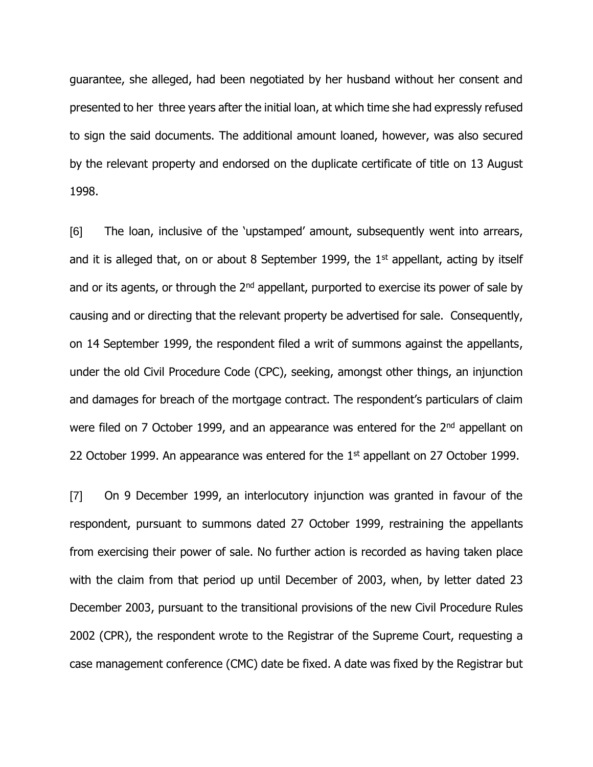guarantee, she alleged, had been negotiated by her husband without her consent and presented to her three years after the initial loan, at which time she had expressly refused to sign the said documents. The additional amount loaned, however, was also secured by the relevant property and endorsed on the duplicate certificate of title on 13 August 1998.

[6] The loan, inclusive of the 'upstamped' amount, subsequently went into arrears, and it is alleged that, on or about 8 September 1999, the  $1<sup>st</sup>$  appellant, acting by itself and or its agents, or through the  $2<sup>nd</sup>$  appellant, purported to exercise its power of sale by causing and or directing that the relevant property be advertised for sale. Consequently, on 14 September 1999, the respondent filed a writ of summons against the appellants, under the old Civil Procedure Code (CPC), seeking, amongst other things, an injunction and damages for breach of the mortgage contract. The respondent's particulars of claim were filed on 7 October 1999, and an appearance was entered for the 2<sup>nd</sup> appellant on 22 October 1999. An appearance was entered for the  $1<sup>st</sup>$  appellant on 27 October 1999.

[7] On 9 December 1999, an interlocutory injunction was granted in favour of the respondent, pursuant to summons dated 27 October 1999, restraining the appellants from exercising their power of sale. No further action is recorded as having taken place with the claim from that period up until December of 2003, when, by letter dated 23 December 2003, pursuant to the transitional provisions of the new Civil Procedure Rules 2002 (CPR), the respondent wrote to the Registrar of the Supreme Court, requesting a case management conference (CMC) date be fixed. A date was fixed by the Registrar but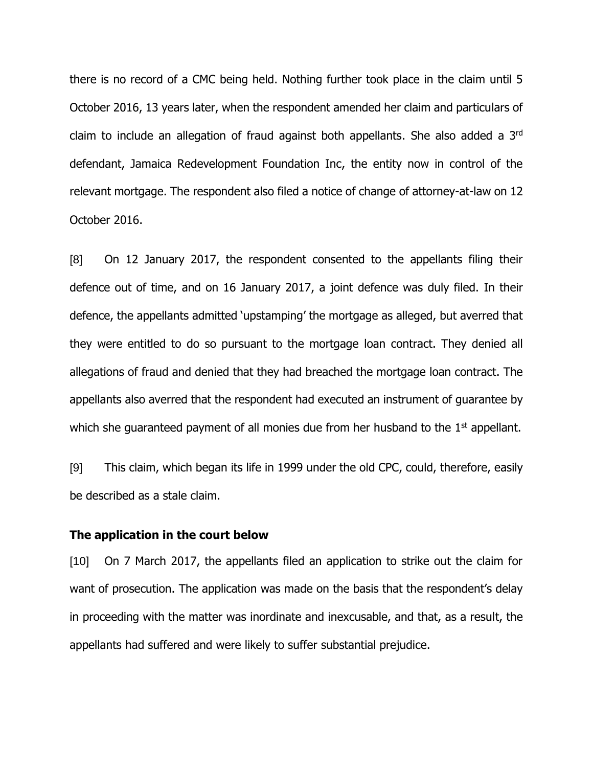there is no record of a CMC being held. Nothing further took place in the claim until 5 October 2016, 13 years later, when the respondent amended her claim and particulars of claim to include an allegation of fraud against both appellants. She also added a 3rd defendant, Jamaica Redevelopment Foundation Inc, the entity now in control of the relevant mortgage. The respondent also filed a notice of change of attorney-at-law on 12 October 2016.

[8] On 12 January 2017, the respondent consented to the appellants filing their defence out of time, and on 16 January 2017, a joint defence was duly filed. In their defence, the appellants admitted 'upstamping' the mortgage as alleged, but averred that they were entitled to do so pursuant to the mortgage loan contract. They denied all allegations of fraud and denied that they had breached the mortgage loan contract. The appellants also averred that the respondent had executed an instrument of guarantee by which she guaranteed payment of all monies due from her husband to the  $1<sup>st</sup>$  appellant.

[9] This claim, which began its life in 1999 under the old CPC, could, therefore, easily be described as a stale claim.

### **The application in the court below**

[10] On 7 March 2017, the appellants filed an application to strike out the claim for want of prosecution. The application was made on the basis that the respondent's delay in proceeding with the matter was inordinate and inexcusable, and that, as a result, the appellants had suffered and were likely to suffer substantial prejudice.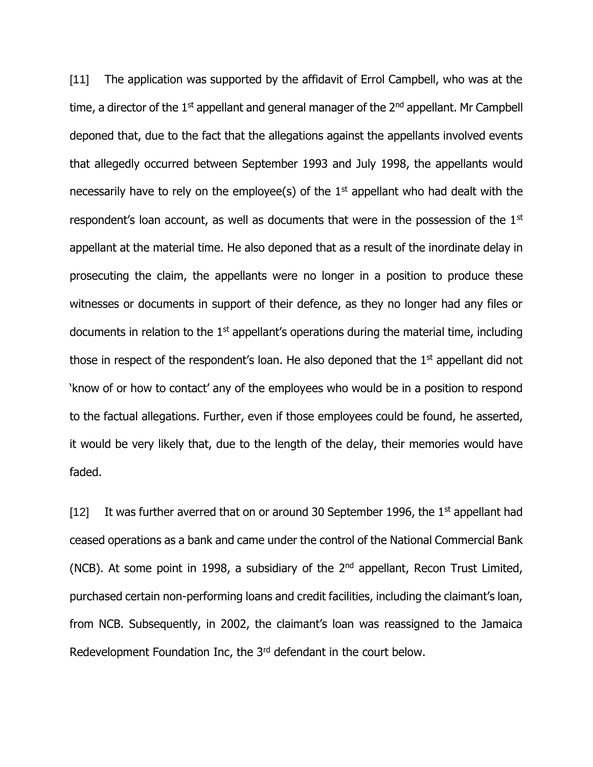[11] The application was supported by the affidavit of Errol Campbell, who was at the time, a director of the  $1<sup>st</sup>$  appellant and general manager of the  $2<sup>nd</sup>$  appellant. Mr Campbell deponed that, due to the fact that the allegations against the appellants involved events that allegedly occurred between September 1993 and July 1998, the appellants would necessarily have to rely on the employee(s) of the  $1<sup>st</sup>$  appellant who had dealt with the respondent's loan account, as well as documents that were in the possession of the 1<sup>st</sup> appellant at the material time. He also deponed that as a result of the inordinate delay in prosecuting the claim, the appellants were no longer in a position to produce these witnesses or documents in support of their defence, as they no longer had any files or documents in relation to the  $1<sup>st</sup>$  appellant's operations during the material time, including those in respect of the respondent's loan. He also deponed that the 1<sup>st</sup> appellant did not 'know of or how to contact' any of the employees who would be in a position to respond to the factual allegations. Further, even if those employees could be found, he asserted, it would be very likely that, due to the length of the delay, their memories would have faded.

[12] It was further averred that on or around 30 September 1996, the 1st appellant had ceased operations as a bank and came under the control of the National Commercial Bank (NCB). At some point in 1998, a subsidiary of the  $2<sup>nd</sup>$  appellant, Recon Trust Limited, purchased certain non-performing loans and credit facilities, including the claimant's loan, from NCB. Subsequently, in 2002, the claimant's loan was reassigned to the Jamaica Redevelopment Foundation Inc, the 3<sup>rd</sup> defendant in the court below.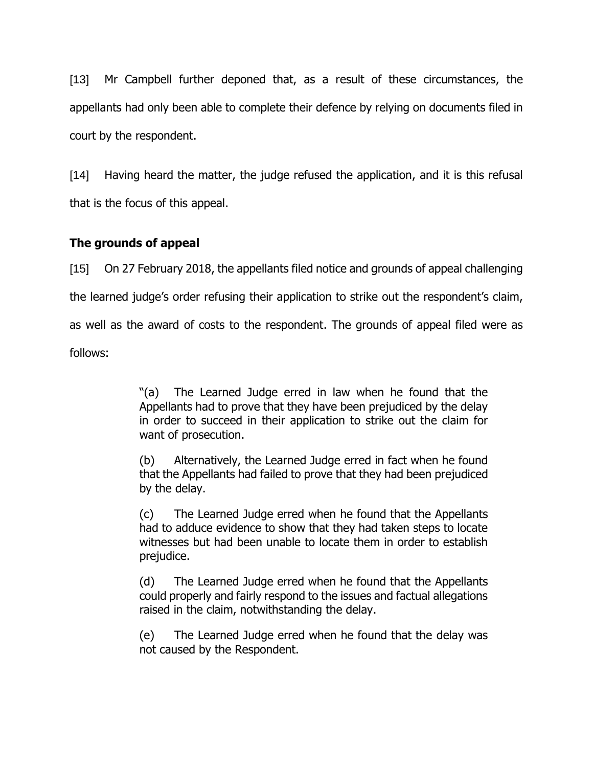[13] Mr Campbell further deponed that, as a result of these circumstances, the appellants had only been able to complete their defence by relying on documents filed in court by the respondent.

[14] Having heard the matter, the judge refused the application, and it is this refusal that is the focus of this appeal.

# **The grounds of appeal**

[15] On 27 February 2018, the appellants filed notice and grounds of appeal challenging the learned judge's order refusing their application to strike out the respondent's claim, as well as the award of costs to the respondent. The grounds of appeal filed were as

follows:

"(a) The Learned Judge erred in law when he found that the Appellants had to prove that they have been prejudiced by the delay in order to succeed in their application to strike out the claim for want of prosecution.

(b) Alternatively, the Learned Judge erred in fact when he found that the Appellants had failed to prove that they had been prejudiced by the delay.

(c) The Learned Judge erred when he found that the Appellants had to adduce evidence to show that they had taken steps to locate witnesses but had been unable to locate them in order to establish prejudice.

(d) The Learned Judge erred when he found that the Appellants could properly and fairly respond to the issues and factual allegations raised in the claim, notwithstanding the delay.

(e) The Learned Judge erred when he found that the delay was not caused by the Respondent.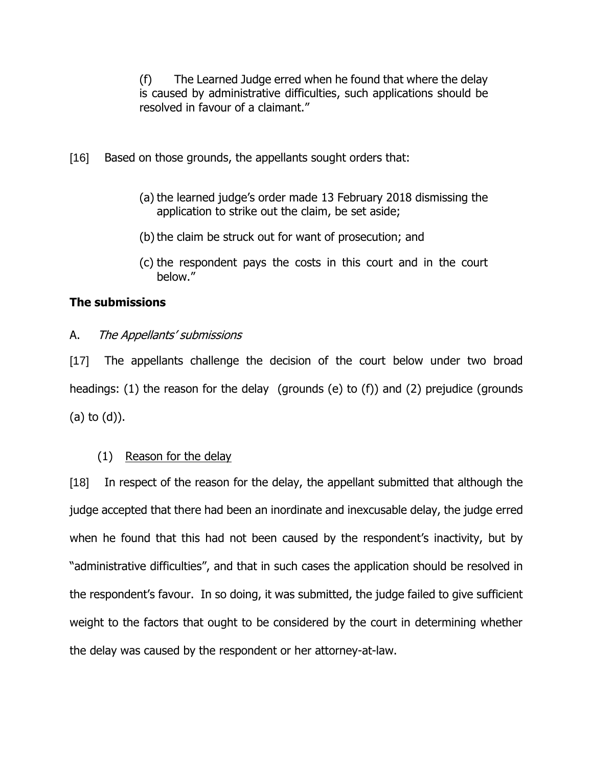(f) The Learned Judge erred when he found that where the delay is caused by administrative difficulties, such applications should be resolved in favour of a claimant."

- [16] Based on those grounds, the appellants sought orders that:
	- (a) the learned judge's order made 13 February 2018 dismissing the application to strike out the claim, be set aside;
	- (b) the claim be struck out for want of prosecution; and
	- (c) the respondent pays the costs in this court and in the court below."

### **The submissions**

A. The Appellants' submissions

[17] The appellants challenge the decision of the court below under two broad headings: (1) the reason for the delay (grounds (e) to (f)) and (2) prejudice (grounds (a) to (d)).

### (1) Reason for the delay

[18] In respect of the reason for the delay, the appellant submitted that although the judge accepted that there had been an inordinate and inexcusable delay, the judge erred when he found that this had not been caused by the respondent's inactivity, but by "administrative difficulties", and that in such cases the application should be resolved in the respondent's favour. In so doing, it was submitted, the judge failed to give sufficient weight to the factors that ought to be considered by the court in determining whether the delay was caused by the respondent or her attorney-at-law.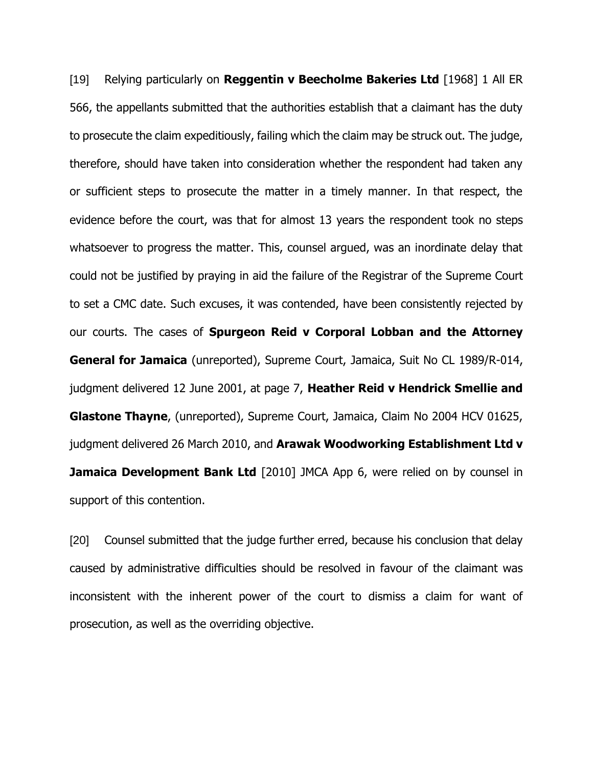[19] Relying particularly on **Reggentin v Beecholme Bakeries Ltd** [1968] 1 All ER 566, the appellants submitted that the authorities establish that a claimant has the duty to prosecute the claim expeditiously, failing which the claim may be struck out. The judge, therefore, should have taken into consideration whether the respondent had taken any or sufficient steps to prosecute the matter in a timely manner. In that respect, the evidence before the court, was that for almost 13 years the respondent took no steps whatsoever to progress the matter. This, counsel argued, was an inordinate delay that could not be justified by praying in aid the failure of the Registrar of the Supreme Court to set a CMC date. Such excuses, it was contended, have been consistently rejected by our courts. The cases of **Spurgeon Reid v Corporal Lobban and the Attorney General for Jamaica** (unreported), Supreme Court, Jamaica, Suit No CL 1989/R-014, judgment delivered 12 June 2001, at page 7, **Heather Reid v Hendrick Smellie and Glastone Thayne**, (unreported), Supreme Court, Jamaica, Claim No 2004 HCV 01625, judgment delivered 26 March 2010, and **Arawak Woodworking Establishment Ltd v Jamaica Development Bank Ltd** [2010] JMCA App 6, were relied on by counsel in support of this contention.

[20] Counsel submitted that the judge further erred, because his conclusion that delay caused by administrative difficulties should be resolved in favour of the claimant was inconsistent with the inherent power of the court to dismiss a claim for want of prosecution, as well as the overriding objective.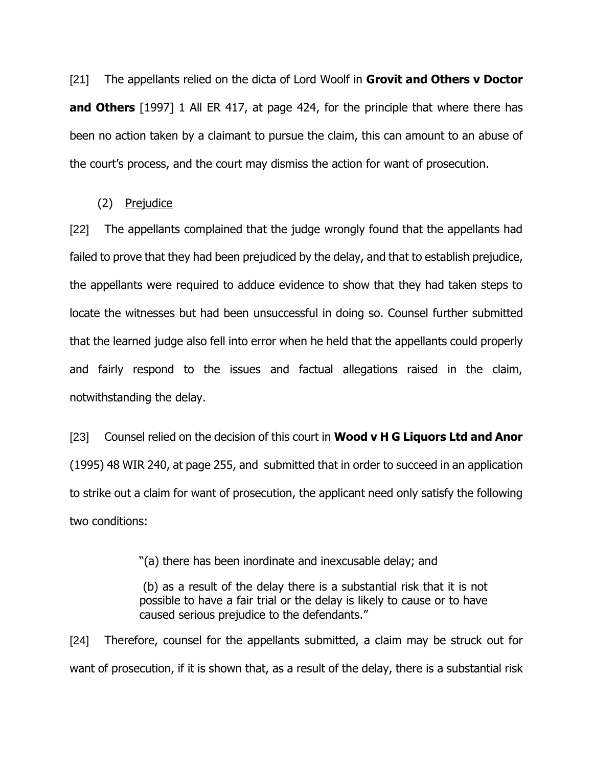[21] The appellants relied on the dicta of Lord Woolf in **Grovit and Others v Doctor and Others** [1997] 1 All ER 417, at page 424, for the principle that where there has been no action taken by a claimant to pursue the claim, this can amount to an abuse of the court's process, and the court may dismiss the action for want of prosecution.

### (2) Prejudice

[22] The appellants complained that the judge wrongly found that the appellants had failed to prove that they had been prejudiced by the delay, and that to establish prejudice, the appellants were required to adduce evidence to show that they had taken steps to locate the witnesses but had been unsuccessful in doing so. Counsel further submitted that the learned judge also fell into error when he held that the appellants could properly and fairly respond to the issues and factual allegations raised in the claim, notwithstanding the delay.

[23] Counsel relied on the decision of this court in **Wood v H G Liquors Ltd and Anor** (1995) 48 WIR 240, at page 255, and submitted that in order to succeed in an application to strike out a claim for want of prosecution, the applicant need only satisfy the following two conditions:

"(a) there has been inordinate and inexcusable delay; and

(b) as a result of the delay there is a substantial risk that it is not possible to have a fair trial or the delay is likely to cause or to have caused serious prejudice to the defendants."

[24] Therefore, counsel for the appellants submitted, a claim may be struck out for want of prosecution, if it is shown that, as a result of the delay, there is a substantial risk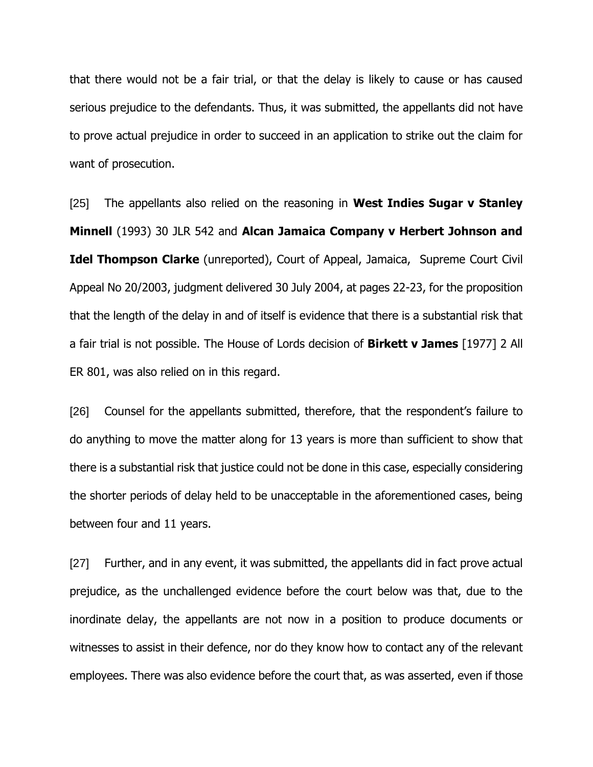that there would not be a fair trial, or that the delay is likely to cause or has caused serious prejudice to the defendants. Thus, it was submitted, the appellants did not have to prove actual prejudice in order to succeed in an application to strike out the claim for want of prosecution.

[25] The appellants also relied on the reasoning in **West Indies Sugar v Stanley Minnell** (1993) 30 JLR 542 and **Alcan Jamaica Company v Herbert Johnson and Idel Thompson Clarke** (unreported), Court of Appeal, Jamaica, Supreme Court Civil Appeal No 20/2003, judgment delivered 30 July 2004, at pages 22-23, for the proposition that the length of the delay in and of itself is evidence that there is a substantial risk that a fair trial is not possible. The House of Lords decision of **Birkett v James** [1977] 2 All ER 801, was also relied on in this regard.

[26] Counsel for the appellants submitted, therefore, that the respondent's failure to do anything to move the matter along for 13 years is more than sufficient to show that there is a substantial risk that justice could not be done in this case, especially considering the shorter periods of delay held to be unacceptable in the aforementioned cases, being between four and 11 years.

[27] Further, and in any event, it was submitted, the appellants did in fact prove actual prejudice, as the unchallenged evidence before the court below was that, due to the inordinate delay, the appellants are not now in a position to produce documents or witnesses to assist in their defence, nor do they know how to contact any of the relevant employees. There was also evidence before the court that, as was asserted, even if those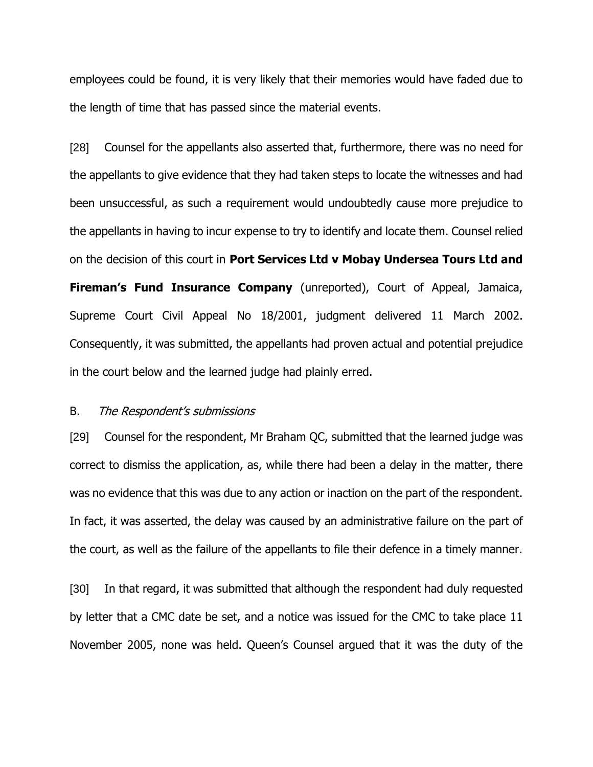employees could be found, it is very likely that their memories would have faded due to the length of time that has passed since the material events.

[28] Counsel for the appellants also asserted that, furthermore, there was no need for the appellants to give evidence that they had taken steps to locate the witnesses and had been unsuccessful, as such a requirement would undoubtedly cause more prejudice to the appellants in having to incur expense to try to identify and locate them. Counsel relied on the decision of this court in **Port Services Ltd v Mobay Undersea Tours Ltd and Fireman's Fund Insurance Company** (unreported), Court of Appeal, Jamaica, Supreme Court Civil Appeal No 18/2001, judgment delivered 11 March 2002. Consequently, it was submitted, the appellants had proven actual and potential prejudice in the court below and the learned judge had plainly erred.

#### B. The Respondent's submissions

[29] Counsel for the respondent, Mr Braham QC, submitted that the learned judge was correct to dismiss the application, as, while there had been a delay in the matter, there was no evidence that this was due to any action or inaction on the part of the respondent. In fact, it was asserted, the delay was caused by an administrative failure on the part of the court, as well as the failure of the appellants to file their defence in a timely manner.

[30] In that regard, it was submitted that although the respondent had duly requested by letter that a CMC date be set, and a notice was issued for the CMC to take place 11 November 2005, none was held. Queen's Counsel argued that it was the duty of the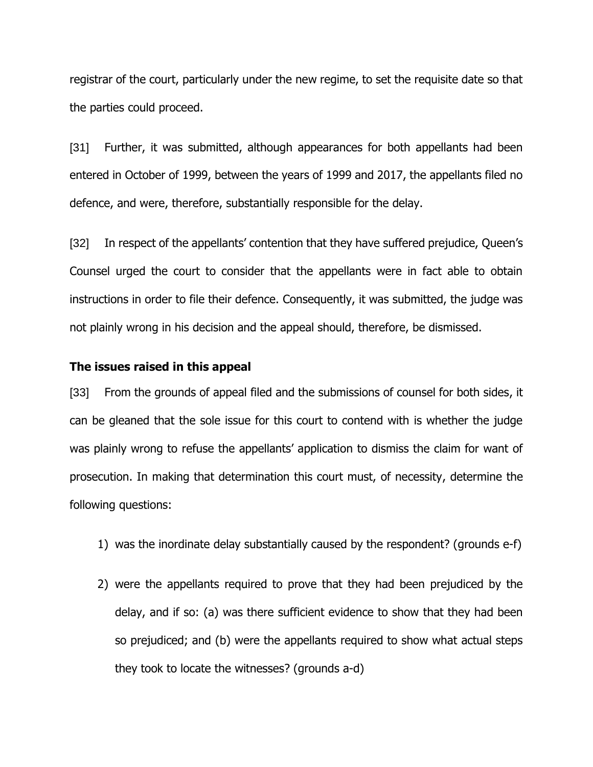registrar of the court, particularly under the new regime, to set the requisite date so that the parties could proceed.

[31] Further, it was submitted, although appearances for both appellants had been entered in October of 1999, between the years of 1999 and 2017, the appellants filed no defence, and were, therefore, substantially responsible for the delay.

[32] In respect of the appellants' contention that they have suffered prejudice, Queen's Counsel urged the court to consider that the appellants were in fact able to obtain instructions in order to file their defence. Consequently, it was submitted, the judge was not plainly wrong in his decision and the appeal should, therefore, be dismissed.

### **The issues raised in this appeal**

[33] From the grounds of appeal filed and the submissions of counsel for both sides, it can be gleaned that the sole issue for this court to contend with is whether the judge was plainly wrong to refuse the appellants' application to dismiss the claim for want of prosecution. In making that determination this court must, of necessity, determine the following questions:

- 1) was the inordinate delay substantially caused by the respondent? (grounds e-f)
- 2) were the appellants required to prove that they had been prejudiced by the delay, and if so: (a) was there sufficient evidence to show that they had been so prejudiced; and (b) were the appellants required to show what actual steps they took to locate the witnesses? (grounds a-d)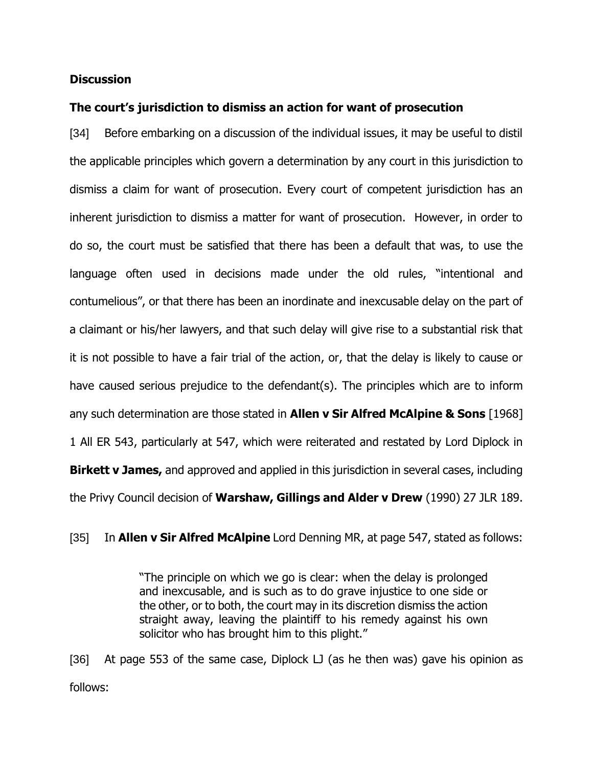## **Discussion**

# **The court's jurisdiction to dismiss an action for want of prosecution**

[34] Before embarking on a discussion of the individual issues, it may be useful to distil the applicable principles which govern a determination by any court in this jurisdiction to dismiss a claim for want of prosecution. Every court of competent jurisdiction has an inherent jurisdiction to dismiss a matter for want of prosecution. However, in order to do so, the court must be satisfied that there has been a default that was, to use the language often used in decisions made under the old rules, "intentional and contumelious", or that there has been an inordinate and inexcusable delay on the part of a claimant or his/her lawyers, and that such delay will give rise to a substantial risk that it is not possible to have a fair trial of the action, or, that the delay is likely to cause or have caused serious prejudice to the defendant(s). The principles which are to inform any such determination are those stated in **Allen v Sir Alfred McAlpine & Sons** [1968] 1 All ER 543, particularly at 547, which were reiterated and restated by Lord Diplock in **Birkett v James,** and approved and applied in this jurisdiction in several cases, including the Privy Council decision of **Warshaw, Gillings and Alder v Drew** (1990) 27 JLR 189.

[35] In **Allen v Sir Alfred McAlpine** Lord Denning MR, at page 547, stated as follows:

"The principle on which we go is clear: when the delay is prolonged and inexcusable, and is such as to do grave injustice to one side or the other, or to both, the court may in its discretion dismiss the action straight away, leaving the plaintiff to his remedy against his own solicitor who has brought him to this plight."

[36] At page 553 of the same case, Diplock LJ (as he then was) gave his opinion as follows: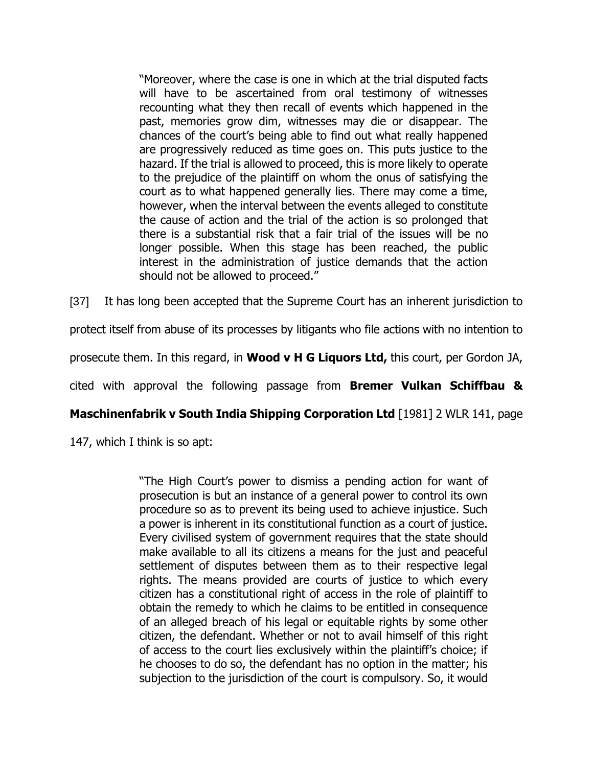"Moreover, where the case is one in which at the trial disputed facts will have to be ascertained from oral testimony of witnesses recounting what they then recall of events which happened in the past, memories grow dim, witnesses may die or disappear. The chances of the court's being able to find out what really happened are progressively reduced as time goes on. This puts justice to the hazard. If the trial is allowed to proceed, this is more likely to operate to the prejudice of the plaintiff on whom the onus of satisfying the court as to what happened generally lies. There may come a time, however, when the interval between the events alleged to constitute the cause of action and the trial of the action is so prolonged that there is a substantial risk that a fair trial of the issues will be no longer possible. When this stage has been reached, the public interest in the administration of justice demands that the action should not be allowed to proceed."

[37] It has long been accepted that the Supreme Court has an inherent jurisdiction to

protect itself from abuse of its processes by litigants who file actions with no intention to

prosecute them. In this regard, in **Wood v H G Liquors Ltd,** this court, per Gordon JA,

cited with approval the following passage from **Bremer Vulkan Schiffbau &**

**Maschinenfabrik v South India Shipping Corporation Ltd** [1981] 2 WLR 141, page

147, which I think is so apt:

"The High Court's power to dismiss a pending action for want of prosecution is but an instance of a general power to control its own procedure so as to prevent its being used to achieve injustice. Such a power is inherent in its constitutional function as a court of justice. Every civilised system of government requires that the state should make available to all its citizens a means for the just and peaceful settlement of disputes between them as to their respective legal rights. The means provided are courts of justice to which every citizen has a constitutional right of access in the role of plaintiff to obtain the remedy to which he claims to be entitled in consequence of an alleged breach of his legal or equitable rights by some other citizen, the defendant. Whether or not to avail himself of this right of access to the court lies exclusively within the plaintiff's choice; if he chooses to do so, the defendant has no option in the matter; his subjection to the jurisdiction of the court is compulsory. So, it would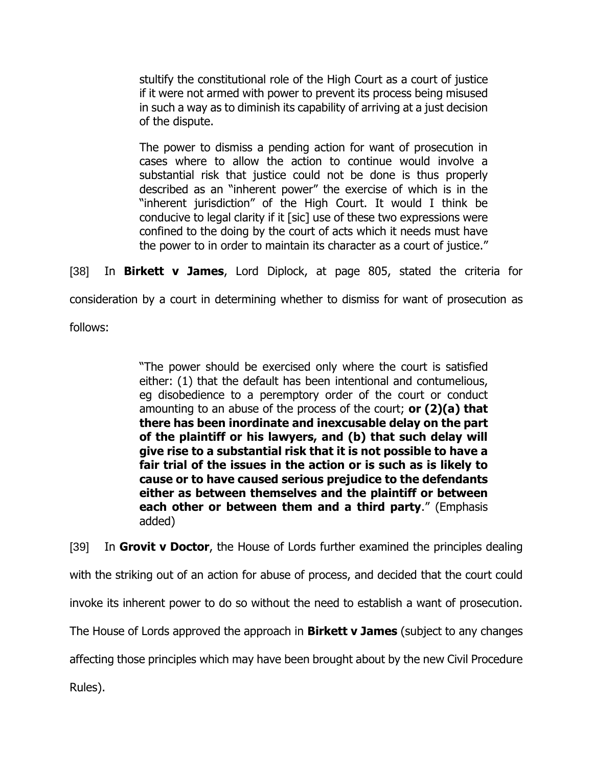stultify the constitutional role of the High Court as a court of justice if it were not armed with power to prevent its process being misused in such a way as to diminish its capability of arriving at a just decision of the dispute.

The power to dismiss a pending action for want of prosecution in cases where to allow the action to continue would involve a substantial risk that justice could not be done is thus properly described as an "inherent power" the exercise of which is in the "inherent jurisdiction" of the High Court. It would I think be conducive to legal clarity if it [sic] use of these two expressions were confined to the doing by the court of acts which it needs must have the power to in order to maintain its character as a court of justice."

[38] In **Birkett v James**, Lord Diplock, at page 805, stated the criteria for

consideration by a court in determining whether to dismiss for want of prosecution as

follows:

"The power should be exercised only where the court is satisfied either: (1) that the default has been intentional and contumelious, eg disobedience to a peremptory order of the court or conduct amounting to an abuse of the process of the court; **or (2)(a) that there has been inordinate and inexcusable delay on the part of the plaintiff or his lawyers, and (b) that such delay will give rise to a substantial risk that it is not possible to have a fair trial of the issues in the action or is such as is likely to cause or to have caused serious prejudice to the defendants either as between themselves and the plaintiff or between each other or between them and a third party**." (Emphasis added)

[39] In **Grovit v Doctor**, the House of Lords further examined the principles dealing with the striking out of an action for abuse of process, and decided that the court could invoke its inherent power to do so without the need to establish a want of prosecution. The House of Lords approved the approach in **Birkett v James** (subject to any changes affecting those principles which may have been brought about by the new Civil Procedure Rules).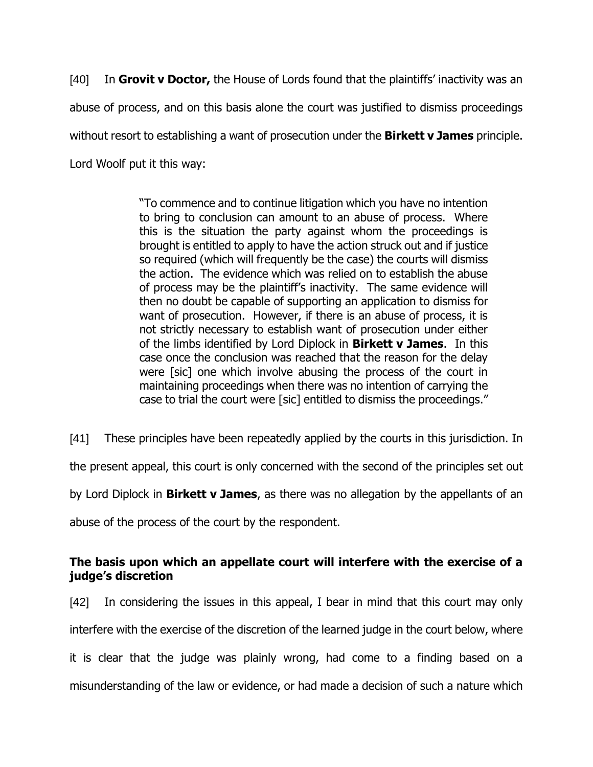[40] In **Grovit v Doctor,** the House of Lords found that the plaintiffs' inactivity was an abuse of process, and on this basis alone the court was justified to dismiss proceedings without resort to establishing a want of prosecution under the **Birkett v James** principle. Lord Woolf put it this way:

> "To commence and to continue litigation which you have no intention to bring to conclusion can amount to an abuse of process. Where this is the situation the party against whom the proceedings is brought is entitled to apply to have the action struck out and if justice so required (which will frequently be the case) the courts will dismiss the action. The evidence which was relied on to establish the abuse of process may be the plaintiff's inactivity. The same evidence will then no doubt be capable of supporting an application to dismiss for want of prosecution. However, if there is an abuse of process, it is not strictly necessary to establish want of prosecution under either of the limbs identified by Lord Diplock in **Birkett v James**. In this case once the conclusion was reached that the reason for the delay were [sic] one which involve abusing the process of the court in maintaining proceedings when there was no intention of carrying the case to trial the court were [sic] entitled to dismiss the proceedings."

[41] These principles have been repeatedly applied by the courts in this jurisdiction. In

the present appeal, this court is only concerned with the second of the principles set out

by Lord Diplock in **Birkett v James**, as there was no allegation by the appellants of an

abuse of the process of the court by the respondent.

# **The basis upon which an appellate court will interfere with the exercise of a judge's discretion**

[42] In considering the issues in this appeal, I bear in mind that this court may only interfere with the exercise of the discretion of the learned judge in the court below, where it is clear that the judge was plainly wrong, had come to a finding based on a misunderstanding of the law or evidence, or had made a decision of such a nature which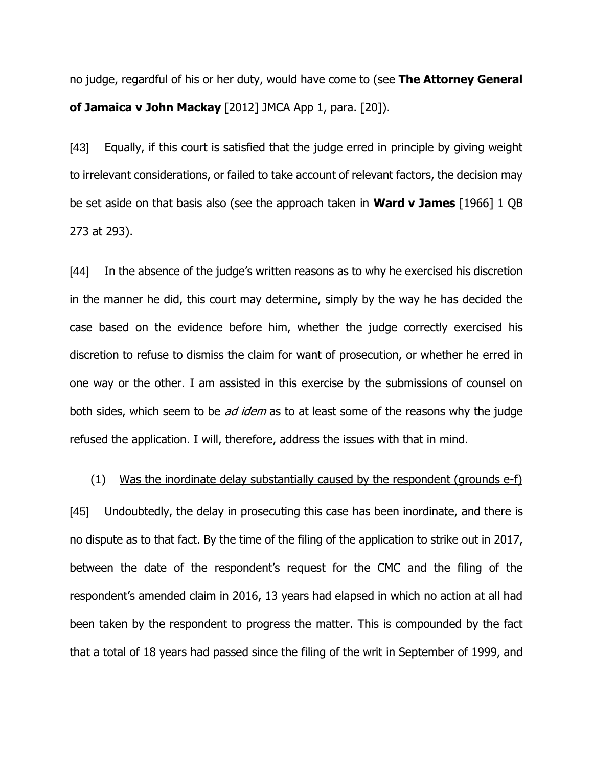no judge, regardful of his or her duty, would have come to (see **The Attorney General of Jamaica v John Mackay** [2012] JMCA App 1, para. [20]).

[43] Equally, if this court is satisfied that the judge erred in principle by giving weight to irrelevant considerations, or failed to take account of relevant factors, the decision may be set aside on that basis also (see the approach taken in **Ward v James** [1966] 1 QB 273 at 293).

[44] In the absence of the judge's written reasons as to why he exercised his discretion in the manner he did, this court may determine, simply by the way he has decided the case based on the evidence before him, whether the judge correctly exercised his discretion to refuse to dismiss the claim for want of prosecution, or whether he erred in one way or the other. I am assisted in this exercise by the submissions of counsel on both sides, which seem to be *ad idem* as to at least some of the reasons why the judge refused the application. I will, therefore, address the issues with that in mind.

### (1) Was the inordinate delay substantially caused by the respondent (grounds e-f)

[45] Undoubtedly, the delay in prosecuting this case has been inordinate, and there is no dispute as to that fact. By the time of the filing of the application to strike out in 2017, between the date of the respondent's request for the CMC and the filing of the respondent's amended claim in 2016, 13 years had elapsed in which no action at all had been taken by the respondent to progress the matter. This is compounded by the fact that a total of 18 years had passed since the filing of the writ in September of 1999, and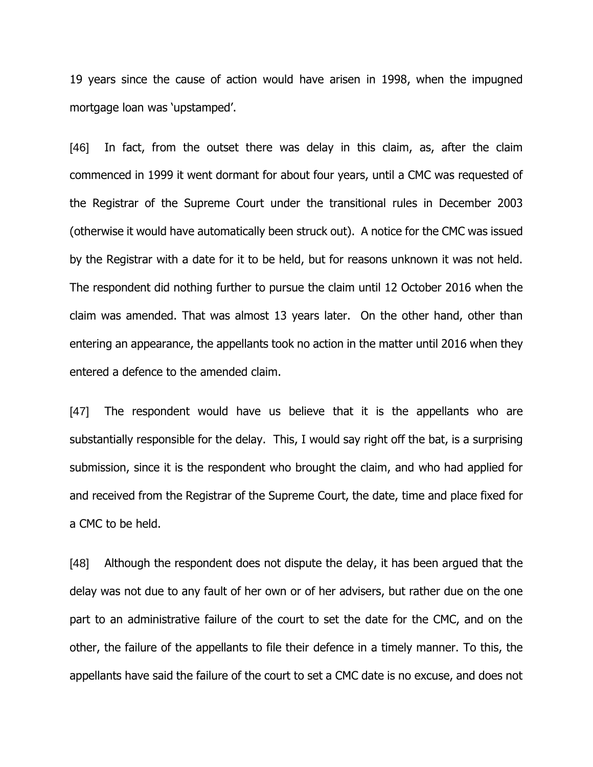19 years since the cause of action would have arisen in 1998, when the impugned mortgage loan was 'upstamped'.

[46] In fact, from the outset there was delay in this claim, as, after the claim commenced in 1999 it went dormant for about four years, until a CMC was requested of the Registrar of the Supreme Court under the transitional rules in December 2003 (otherwise it would have automatically been struck out). A notice for the CMC was issued by the Registrar with a date for it to be held, but for reasons unknown it was not held. The respondent did nothing further to pursue the claim until 12 October 2016 when the claim was amended. That was almost 13 years later. On the other hand, other than entering an appearance, the appellants took no action in the matter until 2016 when they entered a defence to the amended claim.

[47] The respondent would have us believe that it is the appellants who are substantially responsible for the delay. This, I would say right off the bat, is a surprising submission, since it is the respondent who brought the claim, and who had applied for and received from the Registrar of the Supreme Court, the date, time and place fixed for a CMC to be held.

[48] Although the respondent does not dispute the delay, it has been argued that the delay was not due to any fault of her own or of her advisers, but rather due on the one part to an administrative failure of the court to set the date for the CMC, and on the other, the failure of the appellants to file their defence in a timely manner. To this, the appellants have said the failure of the court to set a CMC date is no excuse, and does not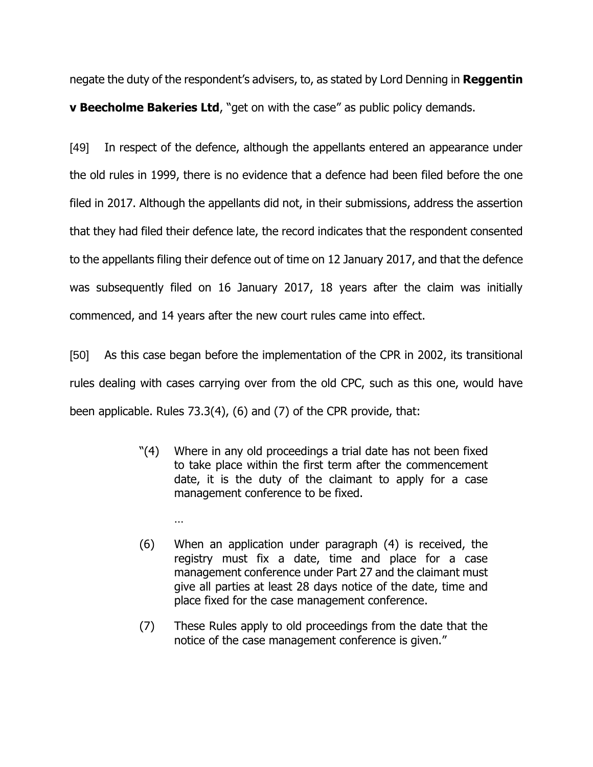negate the duty of the respondent's advisers, to, as stated by Lord Denning in **Reggentin v Beecholme Bakeries Ltd**, "get on with the case" as public policy demands.

[49] In respect of the defence, although the appellants entered an appearance under the old rules in 1999, there is no evidence that a defence had been filed before the one filed in 2017. Although the appellants did not, in their submissions, address the assertion that they had filed their defence late, the record indicates that the respondent consented to the appellants filing their defence out of time on 12 January 2017, and that the defence was subsequently filed on 16 January 2017, 18 years after the claim was initially commenced, and 14 years after the new court rules came into effect.

[50] As this case began before the implementation of the CPR in 2002, its transitional rules dealing with cases carrying over from the old CPC, such as this one, would have been applicable. Rules 73.3(4), (6) and (7) of the CPR provide, that:

> "(4) Where in any old proceedings a trial date has not been fixed to take place within the first term after the commencement date, it is the duty of the claimant to apply for a case management conference to be fixed.

> > …

- (6) When an application under paragraph (4) is received, the registry must fix a date, time and place for a case management conference under Part 27 and the claimant must give all parties at least 28 days notice of the date, time and place fixed for the case management conference.
- (7) These Rules apply to old proceedings from the date that the notice of the case management conference is given."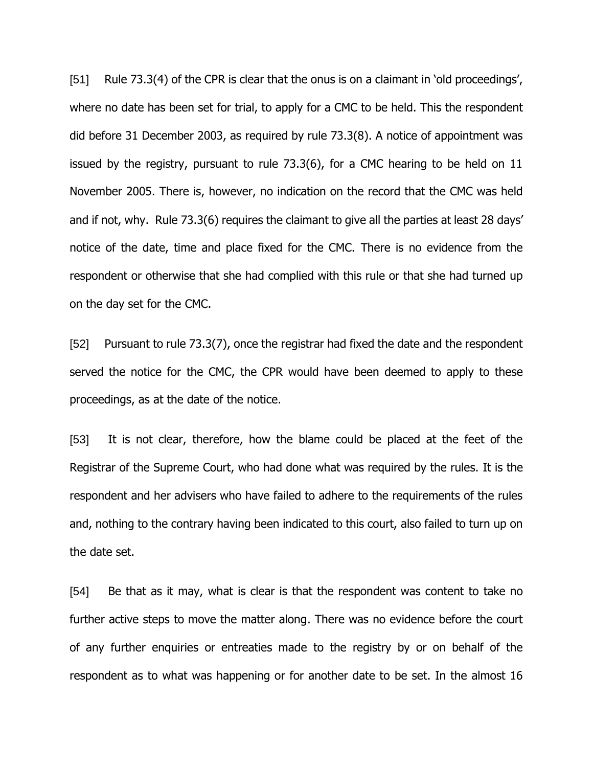[51] Rule 73.3(4) of the CPR is clear that the onus is on a claimant in 'old proceedings', where no date has been set for trial, to apply for a CMC to be held. This the respondent did before 31 December 2003, as required by rule 73.3(8). A notice of appointment was issued by the registry, pursuant to rule 73.3(6), for a CMC hearing to be held on 11 November 2005. There is, however, no indication on the record that the CMC was held and if not, why. Rule 73.3(6) requires the claimant to give all the parties at least 28 days' notice of the date, time and place fixed for the CMC. There is no evidence from the respondent or otherwise that she had complied with this rule or that she had turned up on the day set for the CMC.

[52] Pursuant to rule 73.3(7), once the registrar had fixed the date and the respondent served the notice for the CMC, the CPR would have been deemed to apply to these proceedings, as at the date of the notice.

[53] It is not clear, therefore, how the blame could be placed at the feet of the Registrar of the Supreme Court, who had done what was required by the rules. It is the respondent and her advisers who have failed to adhere to the requirements of the rules and, nothing to the contrary having been indicated to this court, also failed to turn up on the date set.

[54] Be that as it may, what is clear is that the respondent was content to take no further active steps to move the matter along. There was no evidence before the court of any further enquiries or entreaties made to the registry by or on behalf of the respondent as to what was happening or for another date to be set. In the almost 16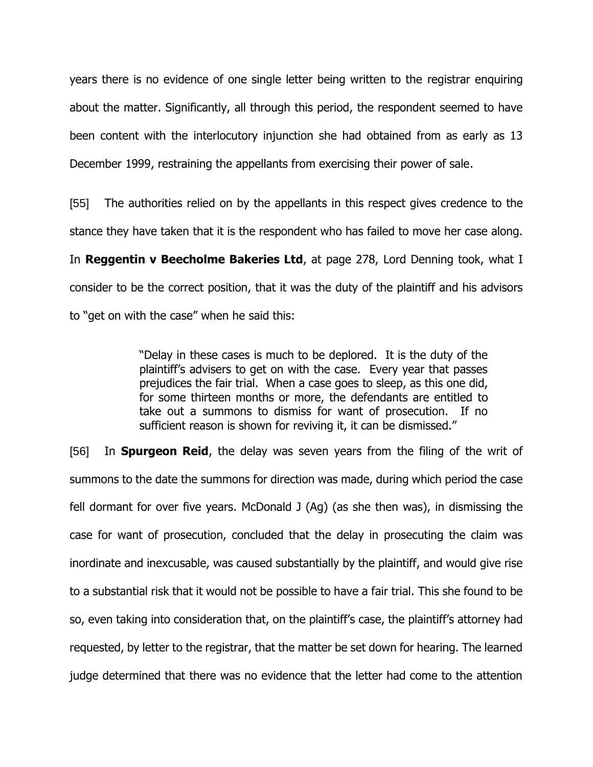years there is no evidence of one single letter being written to the registrar enquiring about the matter. Significantly, all through this period, the respondent seemed to have been content with the interlocutory injunction she had obtained from as early as 13 December 1999, restraining the appellants from exercising their power of sale.

[55] The authorities relied on by the appellants in this respect gives credence to the stance they have taken that it is the respondent who has failed to move her case along.

In **Reggentin v Beecholme Bakeries Ltd**, at page 278, Lord Denning took, what I consider to be the correct position, that it was the duty of the plaintiff and his advisors to "get on with the case" when he said this:

> "Delay in these cases is much to be deplored. It is the duty of the plaintiff's advisers to get on with the case. Every year that passes prejudices the fair trial. When a case goes to sleep, as this one did, for some thirteen months or more, the defendants are entitled to take out a summons to dismiss for want of prosecution. If no sufficient reason is shown for reviving it, it can be dismissed."

[56] In **Spurgeon Reid**, the delay was seven years from the filing of the writ of summons to the date the summons for direction was made, during which period the case fell dormant for over five years. McDonald J (Ag) (as she then was), in dismissing the case for want of prosecution, concluded that the delay in prosecuting the claim was inordinate and inexcusable, was caused substantially by the plaintiff, and would give rise to a substantial risk that it would not be possible to have a fair trial. This she found to be so, even taking into consideration that, on the plaintiff's case, the plaintiff's attorney had requested, by letter to the registrar, that the matter be set down for hearing. The learned judge determined that there was no evidence that the letter had come to the attention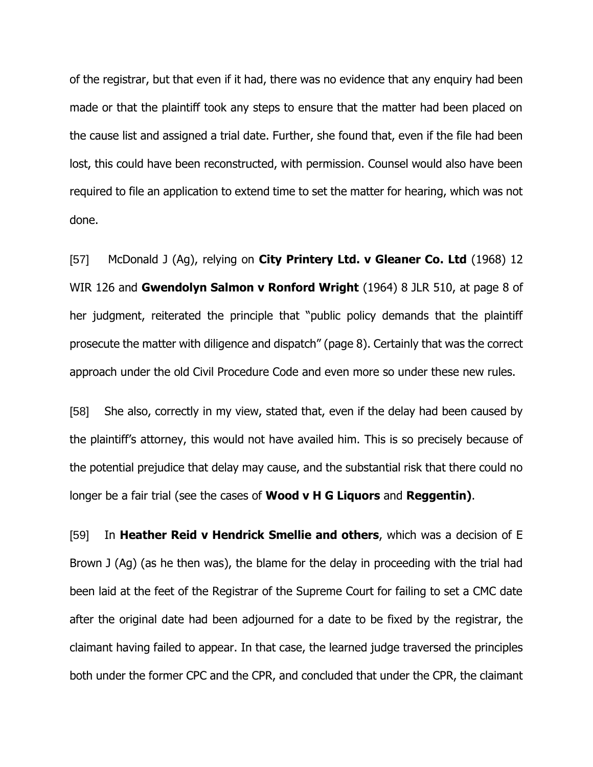of the registrar, but that even if it had, there was no evidence that any enquiry had been made or that the plaintiff took any steps to ensure that the matter had been placed on the cause list and assigned a trial date. Further, she found that, even if the file had been lost, this could have been reconstructed, with permission. Counsel would also have been required to file an application to extend time to set the matter for hearing, which was not done.

[57] McDonald J (Ag), relying on **City Printery Ltd. v Gleaner Co. Ltd** (1968) 12 WIR 126 and **Gwendolyn Salmon v Ronford Wright** (1964) 8 JLR 510, at page 8 of her judgment, reiterated the principle that "public policy demands that the plaintiff prosecute the matter with diligence and dispatch" (page 8). Certainly that was the correct approach under the old Civil Procedure Code and even more so under these new rules.

[58] She also, correctly in my view, stated that, even if the delay had been caused by the plaintiff's attorney, this would not have availed him. This is so precisely because of the potential prejudice that delay may cause, and the substantial risk that there could no longer be a fair trial (see the cases of **Wood v H G Liquors** and **Reggentin)**.

[59] In **Heather Reid v Hendrick Smellie and others**, which was a decision of E Brown J (Ag) (as he then was), the blame for the delay in proceeding with the trial had been laid at the feet of the Registrar of the Supreme Court for failing to set a CMC date after the original date had been adjourned for a date to be fixed by the registrar, the claimant having failed to appear. In that case, the learned judge traversed the principles both under the former CPC and the CPR, and concluded that under the CPR, the claimant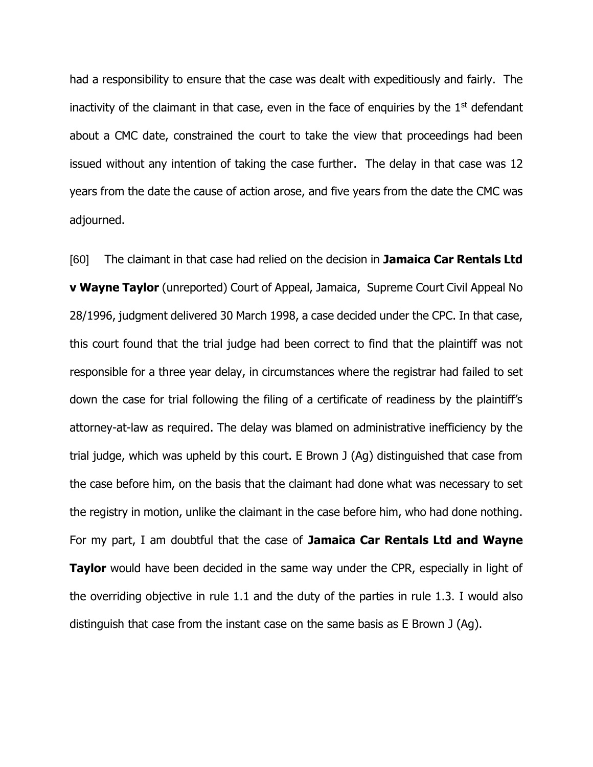had a responsibility to ensure that the case was dealt with expeditiously and fairly. The inactivity of the claimant in that case, even in the face of enquiries by the  $1<sup>st</sup>$  defendant about a CMC date, constrained the court to take the view that proceedings had been issued without any intention of taking the case further. The delay in that case was 12 years from the date the cause of action arose, and five years from the date the CMC was adjourned.

[60] The claimant in that case had relied on the decision in **Jamaica Car Rentals Ltd v Wayne Taylor** (unreported) Court of Appeal, Jamaica, Supreme Court Civil Appeal No 28/1996, judgment delivered 30 March 1998, a case decided under the CPC. In that case, this court found that the trial judge had been correct to find that the plaintiff was not responsible for a three year delay, in circumstances where the registrar had failed to set down the case for trial following the filing of a certificate of readiness by the plaintiff's attorney-at-law as required. The delay was blamed on administrative inefficiency by the trial judge, which was upheld by this court. E Brown J (Ag) distinguished that case from the case before him, on the basis that the claimant had done what was necessary to set the registry in motion, unlike the claimant in the case before him, who had done nothing. For my part, I am doubtful that the case of **Jamaica Car Rentals Ltd and Wayne Taylor** would have been decided in the same way under the CPR, especially in light of the overriding objective in rule 1.1 and the duty of the parties in rule 1.3. I would also distinguish that case from the instant case on the same basis as E Brown J (Ag).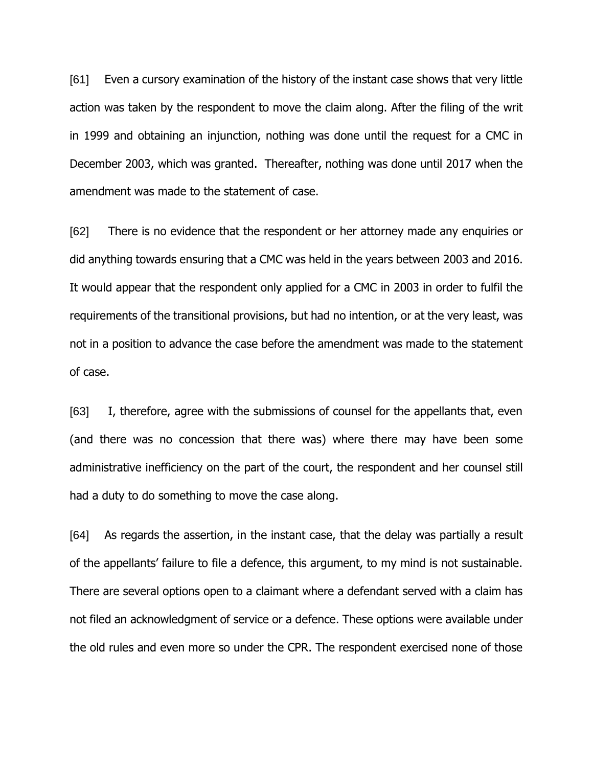[61] Even a cursory examination of the history of the instant case shows that very little action was taken by the respondent to move the claim along. After the filing of the writ in 1999 and obtaining an injunction, nothing was done until the request for a CMC in December 2003, which was granted. Thereafter, nothing was done until 2017 when the amendment was made to the statement of case.

[62] There is no evidence that the respondent or her attorney made any enquiries or did anything towards ensuring that a CMC was held in the years between 2003 and 2016. It would appear that the respondent only applied for a CMC in 2003 in order to fulfil the requirements of the transitional provisions, but had no intention, or at the very least, was not in a position to advance the case before the amendment was made to the statement of case.

[63] I, therefore, agree with the submissions of counsel for the appellants that, even (and there was no concession that there was) where there may have been some administrative inefficiency on the part of the court, the respondent and her counsel still had a duty to do something to move the case along.

[64] As regards the assertion, in the instant case, that the delay was partially a result of the appellants' failure to file a defence, this argument, to my mind is not sustainable. There are several options open to a claimant where a defendant served with a claim has not filed an acknowledgment of service or a defence. These options were available under the old rules and even more so under the CPR. The respondent exercised none of those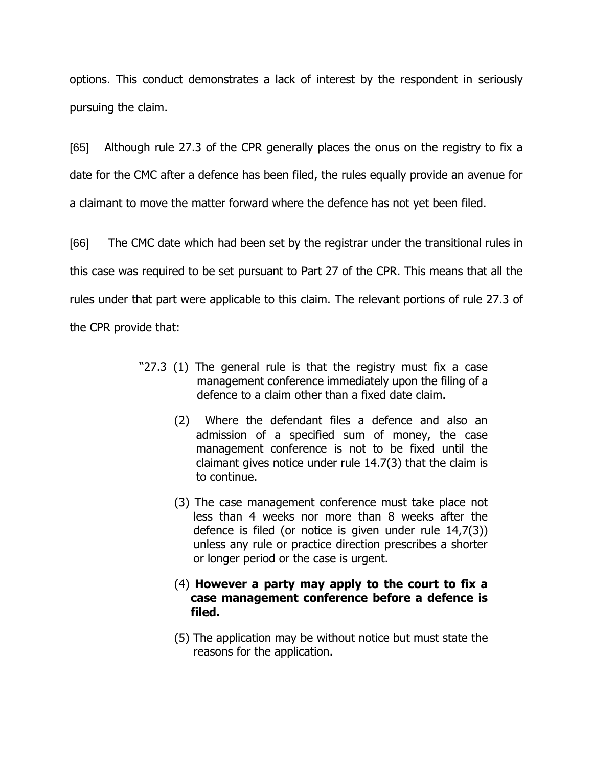options. This conduct demonstrates a lack of interest by the respondent in seriously pursuing the claim.

[65] Although rule 27.3 of the CPR generally places the onus on the registry to fix a date for the CMC after a defence has been filed, the rules equally provide an avenue for a claimant to move the matter forward where the defence has not yet been filed.

[66] The CMC date which had been set by the registrar under the transitional rules in this case was required to be set pursuant to Part 27 of the CPR. This means that all the rules under that part were applicable to this claim. The relevant portions of rule 27.3 of the CPR provide that:

- "27.3 (1) The general rule is that the registry must fix a case management conference immediately upon the filing of a defence to a claim other than a fixed date claim.
	- (2) Where the defendant files a defence and also an admission of a specified sum of money, the case management conference is not to be fixed until the claimant gives notice under rule 14.7(3) that the claim is to continue.
	- (3) The case management conference must take place not less than 4 weeks nor more than 8 weeks after the defence is filed (or notice is given under rule 14,7(3)) unless any rule or practice direction prescribes a shorter or longer period or the case is urgent.
	- (4) **However a party may apply to the court to fix a case management conference before a defence is filed.**
	- (5) The application may be without notice but must state the reasons for the application.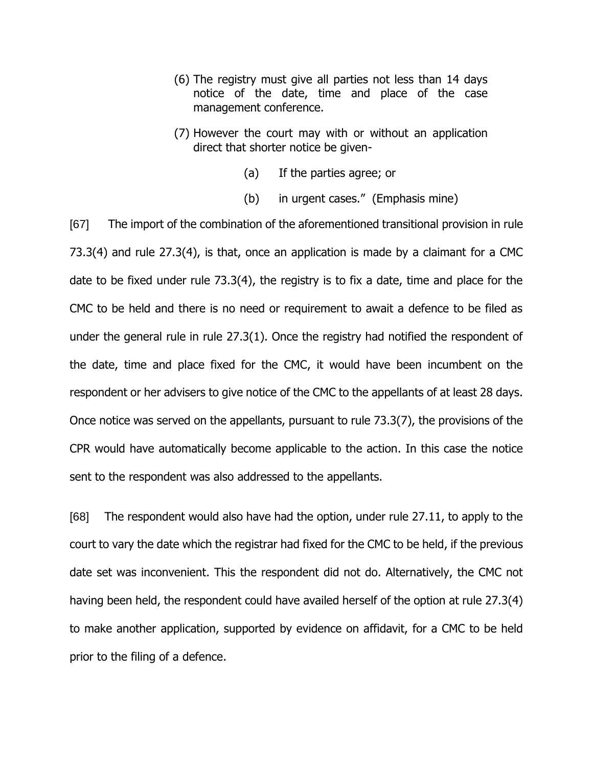- (6) The registry must give all parties not less than 14 days notice of the date, time and place of the case management conference.
- (7) However the court may with or without an application direct that shorter notice be given-
	- (a) If the parties agree; or
	- (b) in urgent cases." (Emphasis mine)

[67] The import of the combination of the aforementioned transitional provision in rule 73.3(4) and rule 27.3(4), is that, once an application is made by a claimant for a CMC date to be fixed under rule 73.3(4), the registry is to fix a date, time and place for the CMC to be held and there is no need or requirement to await a defence to be filed as under the general rule in rule 27.3(1). Once the registry had notified the respondent of the date, time and place fixed for the CMC, it would have been incumbent on the respondent or her advisers to give notice of the CMC to the appellants of at least 28 days. Once notice was served on the appellants, pursuant to rule 73.3(7), the provisions of the CPR would have automatically become applicable to the action. In this case the notice sent to the respondent was also addressed to the appellants.

[68] The respondent would also have had the option, under rule 27.11, to apply to the court to vary the date which the registrar had fixed for the CMC to be held, if the previous date set was inconvenient. This the respondent did not do. Alternatively, the CMC not having been held, the respondent could have availed herself of the option at rule 27.3(4) to make another application, supported by evidence on affidavit, for a CMC to be held prior to the filing of a defence.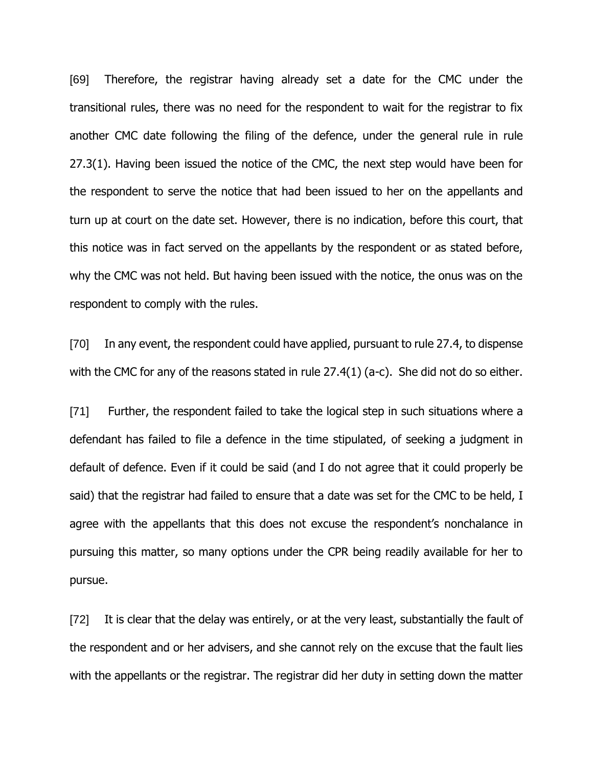[69] Therefore, the registrar having already set a date for the CMC under the transitional rules, there was no need for the respondent to wait for the registrar to fix another CMC date following the filing of the defence, under the general rule in rule 27.3(1). Having been issued the notice of the CMC, the next step would have been for the respondent to serve the notice that had been issued to her on the appellants and turn up at court on the date set. However, there is no indication, before this court, that this notice was in fact served on the appellants by the respondent or as stated before, why the CMC was not held. But having been issued with the notice, the onus was on the respondent to comply with the rules.

[70] In any event, the respondent could have applied, pursuant to rule 27.4, to dispense with the CMC for any of the reasons stated in rule 27.4(1) (a-c). She did not do so either.

[71] Further, the respondent failed to take the logical step in such situations where a defendant has failed to file a defence in the time stipulated, of seeking a judgment in default of defence. Even if it could be said (and I do not agree that it could properly be said) that the registrar had failed to ensure that a date was set for the CMC to be held, I agree with the appellants that this does not excuse the respondent's nonchalance in pursuing this matter, so many options under the CPR being readily available for her to pursue.

[72] It is clear that the delay was entirely, or at the very least, substantially the fault of the respondent and or her advisers, and she cannot rely on the excuse that the fault lies with the appellants or the registrar. The registrar did her duty in setting down the matter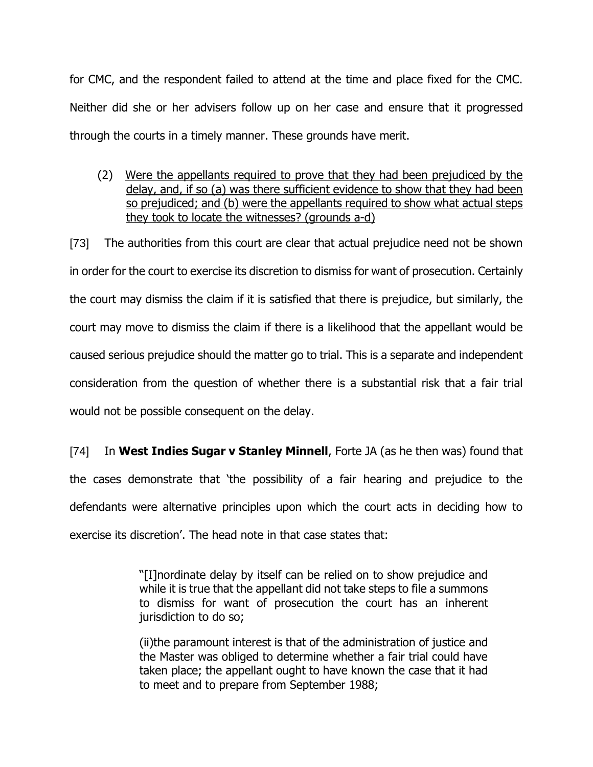for CMC, and the respondent failed to attend at the time and place fixed for the CMC. Neither did she or her advisers follow up on her case and ensure that it progressed through the courts in a timely manner. These grounds have merit.

(2) Were the appellants required to prove that they had been prejudiced by the delay, and, if so (a) was there sufficient evidence to show that they had been so prejudiced; and (b) were the appellants required to show what actual steps they took to locate the witnesses? (grounds a-d)

[73] The authorities from this court are clear that actual prejudice need not be shown in order for the court to exercise its discretion to dismiss for want of prosecution. Certainly the court may dismiss the claim if it is satisfied that there is prejudice, but similarly, the court may move to dismiss the claim if there is a likelihood that the appellant would be caused serious prejudice should the matter go to trial. This is a separate and independent consideration from the question of whether there is a substantial risk that a fair trial would not be possible consequent on the delay.

[74] In **West Indies Sugar v Stanley Minnell**, Forte JA (as he then was) found that the cases demonstrate that 'the possibility of a fair hearing and prejudice to the defendants were alternative principles upon which the court acts in deciding how to exercise its discretion'. The head note in that case states that:

> "[I]nordinate delay by itself can be relied on to show prejudice and while it is true that the appellant did not take steps to file a summons to dismiss for want of prosecution the court has an inherent jurisdiction to do so;

> (ii)the paramount interest is that of the administration of justice and the Master was obliged to determine whether a fair trial could have taken place; the appellant ought to have known the case that it had to meet and to prepare from September 1988;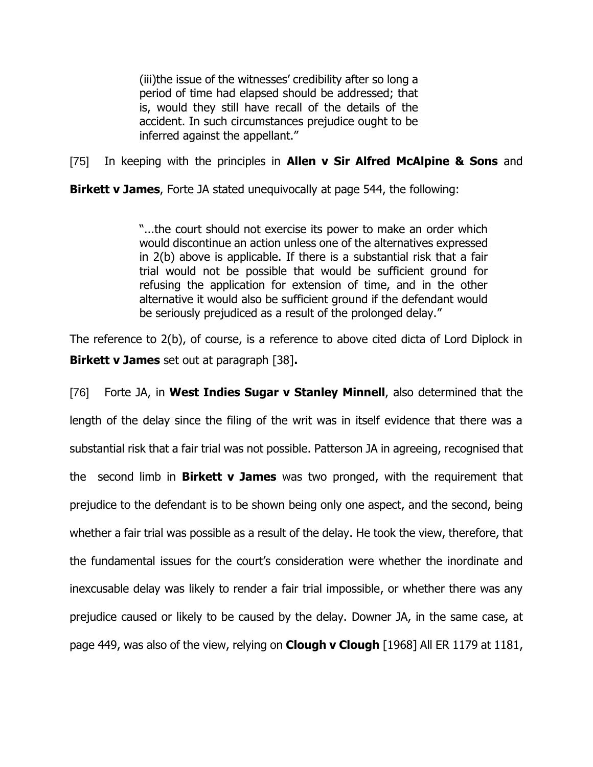(iii)the issue of the witnesses' credibility after so long a period of time had elapsed should be addressed; that is, would they still have recall of the details of the accident. In such circumstances prejudice ought to be inferred against the appellant."

[75] In keeping with the principles in **Allen v Sir Alfred McAlpine & Sons** and

**Birkett v James**, Forte JA stated unequivocally at page 544, the following:

"...the court should not exercise its power to make an order which would discontinue an action unless one of the alternatives expressed in 2(b) above is applicable. If there is a substantial risk that a fair trial would not be possible that would be sufficient ground for refusing the application for extension of time, and in the other alternative it would also be sufficient ground if the defendant would be seriously prejudiced as a result of the prolonged delay."

The reference to 2(b), of course, is a reference to above cited dicta of Lord Diplock in **Birkett v James** set out at paragraph [38]**.**

[76] Forte JA, in **West Indies Sugar v Stanley Minnell**, also determined that the length of the delay since the filing of the writ was in itself evidence that there was a substantial risk that a fair trial was not possible. Patterson JA in agreeing, recognised that the second limb in **Birkett v James** was two pronged, with the requirement that prejudice to the defendant is to be shown being only one aspect, and the second, being whether a fair trial was possible as a result of the delay. He took the view, therefore, that the fundamental issues for the court's consideration were whether the inordinate and inexcusable delay was likely to render a fair trial impossible, or whether there was any prejudice caused or likely to be caused by the delay. Downer JA, in the same case, at page 449, was also of the view, relying on **Clough v Clough** [1968] All ER 1179 at 1181,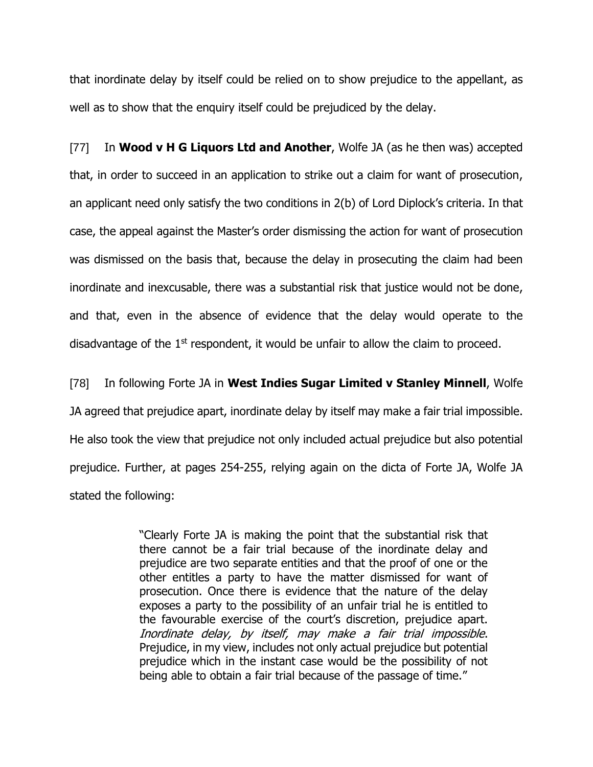that inordinate delay by itself could be relied on to show prejudice to the appellant, as well as to show that the enquiry itself could be prejudiced by the delay.

[77] In **Wood v H G Liquors Ltd and Another**, Wolfe JA (as he then was) accepted that, in order to succeed in an application to strike out a claim for want of prosecution, an applicant need only satisfy the two conditions in 2(b) of Lord Diplock's criteria. In that case, the appeal against the Master's order dismissing the action for want of prosecution was dismissed on the basis that, because the delay in prosecuting the claim had been inordinate and inexcusable, there was a substantial risk that justice would not be done, and that, even in the absence of evidence that the delay would operate to the disadvantage of the  $1<sup>st</sup>$  respondent, it would be unfair to allow the claim to proceed.

[78] In following Forte JA in **West Indies Sugar Limited v Stanley Minnell**, Wolfe JA agreed that prejudice apart, inordinate delay by itself may make a fair trial impossible. He also took the view that prejudice not only included actual prejudice but also potential prejudice. Further, at pages 254-255, relying again on the dicta of Forte JA, Wolfe JA stated the following:

> "Clearly Forte JA is making the point that the substantial risk that there cannot be a fair trial because of the inordinate delay and prejudice are two separate entities and that the proof of one or the other entitles a party to have the matter dismissed for want of prosecution. Once there is evidence that the nature of the delay exposes a party to the possibility of an unfair trial he is entitled to the favourable exercise of the court's discretion, prejudice apart. Inordinate delay, by itself, may make a fair trial impossible. Prejudice, in my view, includes not only actual prejudice but potential prejudice which in the instant case would be the possibility of not being able to obtain a fair trial because of the passage of time."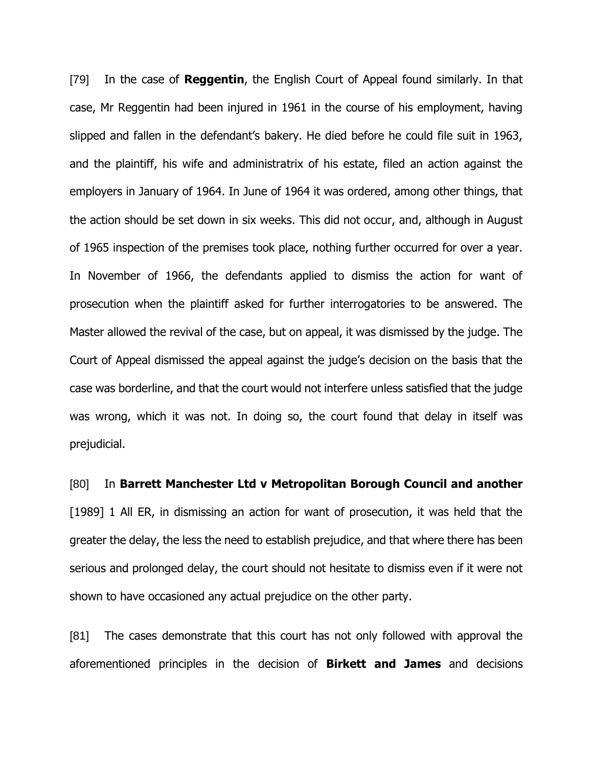[79] In the case of **Reggentin**, the English Court of Appeal found similarly. In that case, Mr Reggentin had been injured in 1961 in the course of his employment, having slipped and fallen in the defendant's bakery. He died before he could file suit in 1963, and the plaintiff, his wife and administratrix of his estate, filed an action against the employers in January of 1964. In June of 1964 it was ordered, among other things, that the action should be set down in six weeks. This did not occur, and, although in August of 1965 inspection of the premises took place, nothing further occurred for over a year. In November of 1966, the defendants applied to dismiss the action for want of prosecution when the plaintiff asked for further interrogatories to be answered. The Master allowed the revival of the case, but on appeal, it was dismissed by the judge. The Court of Appeal dismissed the appeal against the judge's decision on the basis that the case was borderline, and that the court would not interfere unless satisfied that the judge was wrong, which it was not. In doing so, the court found that delay in itself was prejudicial.

[80] In **Barrett Manchester Ltd v Metropolitan Borough Council and another** [1989] 1 All ER, in dismissing an action for want of prosecution, it was held that the greater the delay, the less the need to establish prejudice, and that where there has been serious and prolonged delay, the court should not hesitate to dismiss even if it were not shown to have occasioned any actual prejudice on the other party.

[81] The cases demonstrate that this court has not only followed with approval the aforementioned principles in the decision of **Birkett and James** and decisions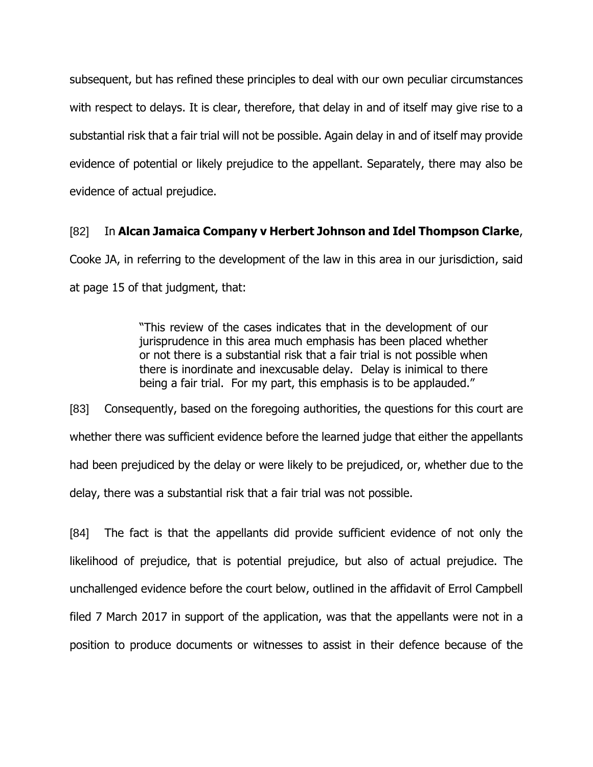subsequent, but has refined these principles to deal with our own peculiar circumstances with respect to delays. It is clear, therefore, that delay in and of itself may give rise to a substantial risk that a fair trial will not be possible. Again delay in and of itself may provide evidence of potential or likely prejudice to the appellant. Separately, there may also be evidence of actual prejudice.

# [82] In **Alcan Jamaica Company v Herbert Johnson and Idel Thompson Clarke**,

Cooke JA, in referring to the development of the law in this area in our jurisdiction, said at page 15 of that judgment, that:

> "This review of the cases indicates that in the development of our jurisprudence in this area much emphasis has been placed whether or not there is a substantial risk that a fair trial is not possible when there is inordinate and inexcusable delay. Delay is inimical to there being a fair trial. For my part, this emphasis is to be applauded."

[83] Consequently, based on the foregoing authorities, the questions for this court are whether there was sufficient evidence before the learned judge that either the appellants had been prejudiced by the delay or were likely to be prejudiced, or, whether due to the delay, there was a substantial risk that a fair trial was not possible.

[84] The fact is that the appellants did provide sufficient evidence of not only the likelihood of prejudice, that is potential prejudice, but also of actual prejudice. The unchallenged evidence before the court below, outlined in the affidavit of Errol Campbell filed 7 March 2017 in support of the application, was that the appellants were not in a position to produce documents or witnesses to assist in their defence because of the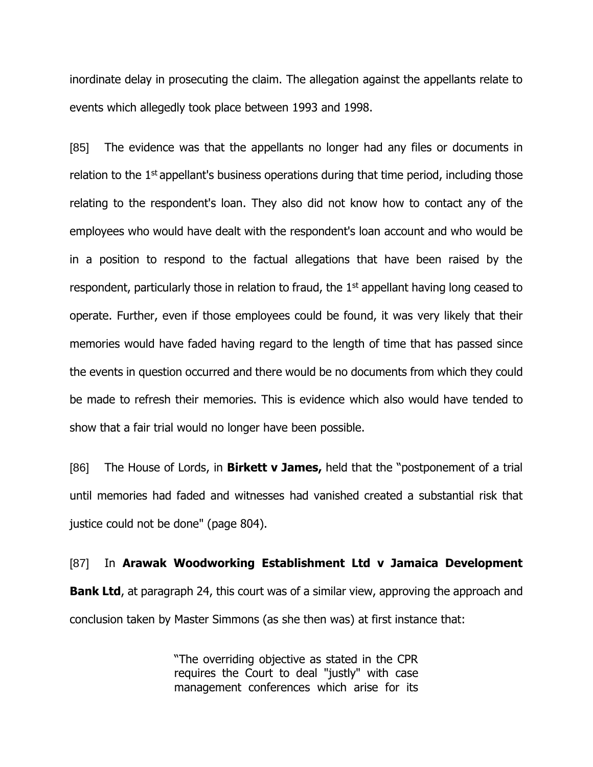inordinate delay in prosecuting the claim. The allegation against the appellants relate to events which allegedly took place between 1993 and 1998.

[85] The evidence was that the appellants no longer had any files or documents in relation to the  $1<sup>st</sup>$  appellant's business operations during that time period, including those relating to the respondent's loan. They also did not know how to contact any of the employees who would have dealt with the respondent's loan account and who would be in a position to respond to the factual allegations that have been raised by the respondent, particularly those in relation to fraud, the 1<sup>st</sup> appellant having long ceased to operate. Further, even if those employees could be found, it was very likely that their memories would have faded having regard to the length of time that has passed since the events in question occurred and there would be no documents from which they could be made to refresh their memories. This is evidence which also would have tended to show that a fair trial would no longer have been possible.

[86] The House of Lords, in **Birkett v James,** held that the "postponement of a trial until memories had faded and witnesses had vanished created a substantial risk that justice could not be done" (page 804).

[87] In **Arawak Woodworking Establishment Ltd v Jamaica Development Bank Ltd**, at paragraph 24, this court was of a similar view, approving the approach and conclusion taken by Master Simmons (as she then was) at first instance that:

> "The overriding objective as stated in the CPR requires the Court to deal "justly" with case management conferences which arise for its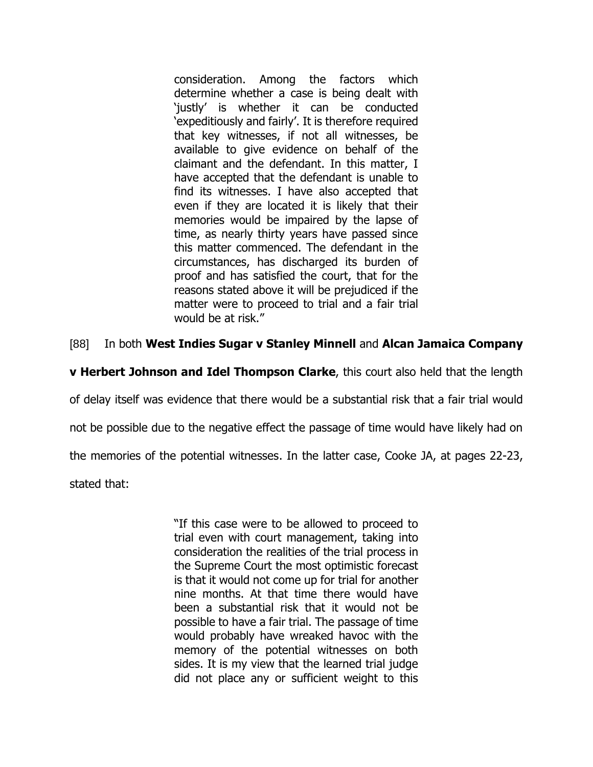consideration. Among the factors which determine whether a case is being dealt with 'justly' is whether it can be conducted 'expeditiously and fairly'. It is therefore required that key witnesses, if not all witnesses, be available to give evidence on behalf of the claimant and the defendant. In this matter, I have accepted that the defendant is unable to find its witnesses. I have also accepted that even if they are located it is likely that their memories would be impaired by the lapse of time, as nearly thirty years have passed since this matter commenced. The defendant in the circumstances, has discharged its burden of proof and has satisfied the court, that for the reasons stated above it will be prejudiced if the matter were to proceed to trial and a fair trial would be at risk."

# [88] In both **West Indies Sugar v Stanley Minnell** and **Alcan Jamaica Company**

**v Herbert Johnson and Idel Thompson Clarke**, this court also held that the length

of delay itself was evidence that there would be a substantial risk that a fair trial would

not be possible due to the negative effect the passage of time would have likely had on

the memories of the potential witnesses. In the latter case, Cooke JA, at pages 22-23,

stated that:

"If this case were to be allowed to proceed to trial even with court management, taking into consideration the realities of the trial process in the Supreme Court the most optimistic forecast is that it would not come up for trial for another nine months. At that time there would have been a substantial risk that it would not be possible to have a fair trial. The passage of time would probably have wreaked havoc with the memory of the potential witnesses on both sides. It is my view that the learned trial judge did not place any or sufficient weight to this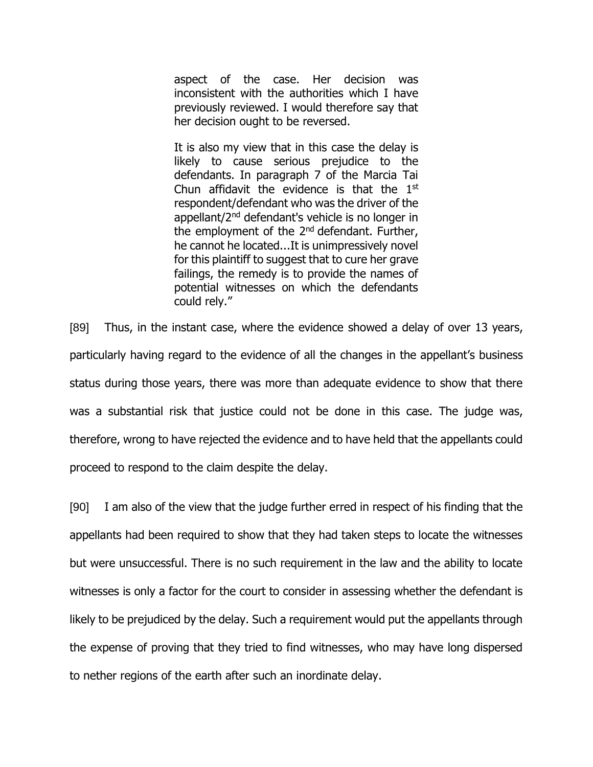aspect of the case. Her decision was inconsistent with the authorities which I have previously reviewed. I would therefore say that her decision ought to be reversed.

It is also my view that in this case the delay is likely to cause serious prejudice to the defendants. In paragraph 7 of the Marcia Tai Chun affidavit the evidence is that the  $1<sup>st</sup>$ respondent/defendant who was the driver of the appellant/2<sup>nd</sup> defendant's vehicle is no longer in the employment of the 2<sup>nd</sup> defendant. Further, he cannot he located...It is unimpressively novel for this plaintiff to suggest that to cure her grave failings, the remedy is to provide the names of potential witnesses on which the defendants could rely."

[89] Thus, in the instant case, where the evidence showed a delay of over 13 years, particularly having regard to the evidence of all the changes in the appellant's business status during those years, there was more than adequate evidence to show that there was a substantial risk that justice could not be done in this case. The judge was, therefore, wrong to have rejected the evidence and to have held that the appellants could proceed to respond to the claim despite the delay.

[90] I am also of the view that the judge further erred in respect of his finding that the appellants had been required to show that they had taken steps to locate the witnesses but were unsuccessful. There is no such requirement in the law and the ability to locate witnesses is only a factor for the court to consider in assessing whether the defendant is likely to be prejudiced by the delay. Such a requirement would put the appellants through the expense of proving that they tried to find witnesses, who may have long dispersed to nether regions of the earth after such an inordinate delay.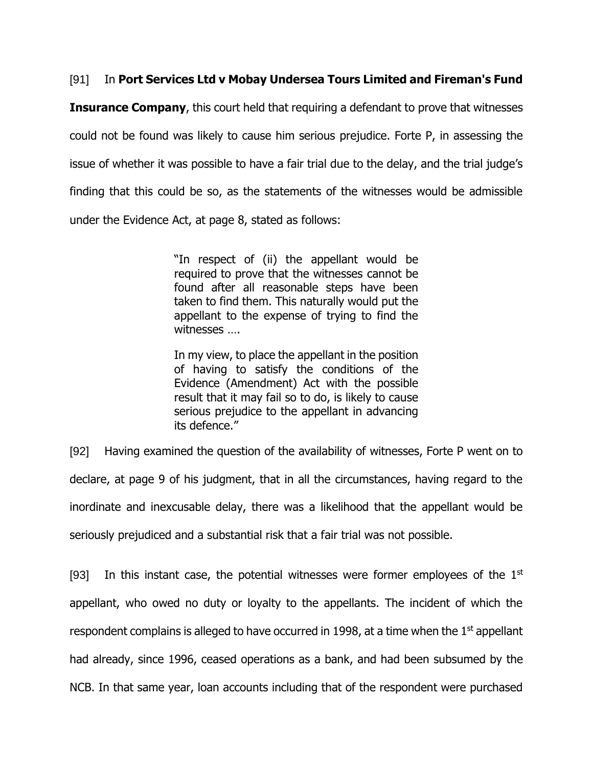# [91] In **Port Services Ltd v Mobay Undersea Tours Limited and Fireman's Fund**

**Insurance Company**, this court held that requiring a defendant to prove that witnesses could not be found was likely to cause him serious prejudice. Forte P, in assessing the issue of whether it was possible to have a fair trial due to the delay, and the trial judge's finding that this could be so, as the statements of the witnesses would be admissible under the Evidence Act, at page 8, stated as follows:

> "In respect of (ii) the appellant would be required to prove that the witnesses cannot be found after all reasonable steps have been taken to find them. This naturally would put the appellant to the expense of trying to find the witnesses ….

> In my view, to place the appellant in the position of having to satisfy the conditions of the Evidence (Amendment) Act with the possible result that it may fail so to do, is likely to cause serious prejudice to the appellant in advancing its defence."

[92] Having examined the question of the availability of witnesses, Forte P went on to declare, at page 9 of his judgment, that in all the circumstances, having regard to the inordinate and inexcusable delay, there was a likelihood that the appellant would be seriously prejudiced and a substantial risk that a fair trial was not possible.

[93] In this instant case, the potential witnesses were former employees of the  $1<sup>st</sup>$ appellant, who owed no duty or loyalty to the appellants. The incident of which the respondent complains is alleged to have occurred in 1998, at a time when the  $1<sup>st</sup>$  appellant had already, since 1996, ceased operations as a bank, and had been subsumed by the NCB. In that same year, loan accounts including that of the respondent were purchased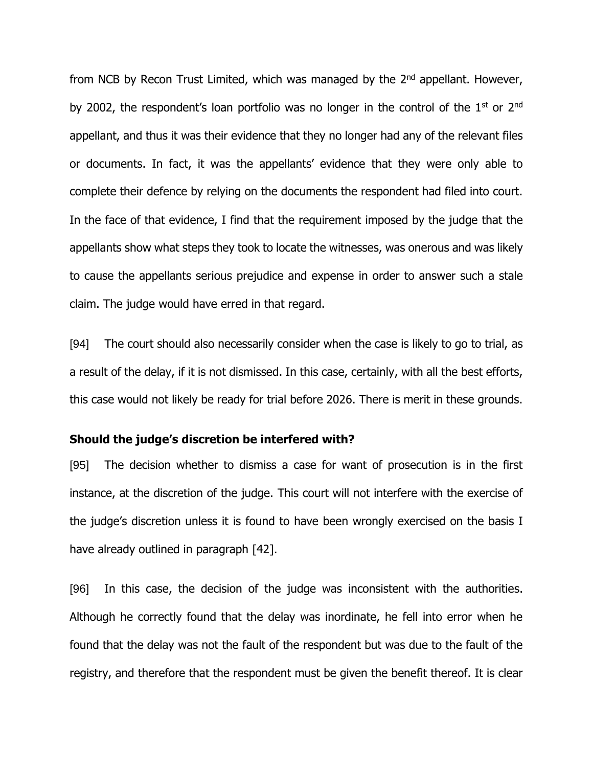from NCB by Recon Trust Limited, which was managed by the 2<sup>nd</sup> appellant. However, by 2002, the respondent's loan portfolio was no longer in the control of the  $1<sup>st</sup>$  or  $2<sup>nd</sup>$ appellant, and thus it was their evidence that they no longer had any of the relevant files or documents. In fact, it was the appellants' evidence that they were only able to complete their defence by relying on the documents the respondent had filed into court. In the face of that evidence, I find that the requirement imposed by the judge that the appellants show what steps they took to locate the witnesses, was onerous and was likely to cause the appellants serious prejudice and expense in order to answer such a stale claim. The judge would have erred in that regard.

[94] The court should also necessarily consider when the case is likely to go to trial, as a result of the delay, if it is not dismissed. In this case, certainly, with all the best efforts, this case would not likely be ready for trial before 2026. There is merit in these grounds.

### **Should the judge's discretion be interfered with?**

[95] The decision whether to dismiss a case for want of prosecution is in the first instance, at the discretion of the judge. This court will not interfere with the exercise of the judge's discretion unless it is found to have been wrongly exercised on the basis I have already outlined in paragraph [42].

[96] In this case, the decision of the judge was inconsistent with the authorities. Although he correctly found that the delay was inordinate, he fell into error when he found that the delay was not the fault of the respondent but was due to the fault of the registry, and therefore that the respondent must be given the benefit thereof. It is clear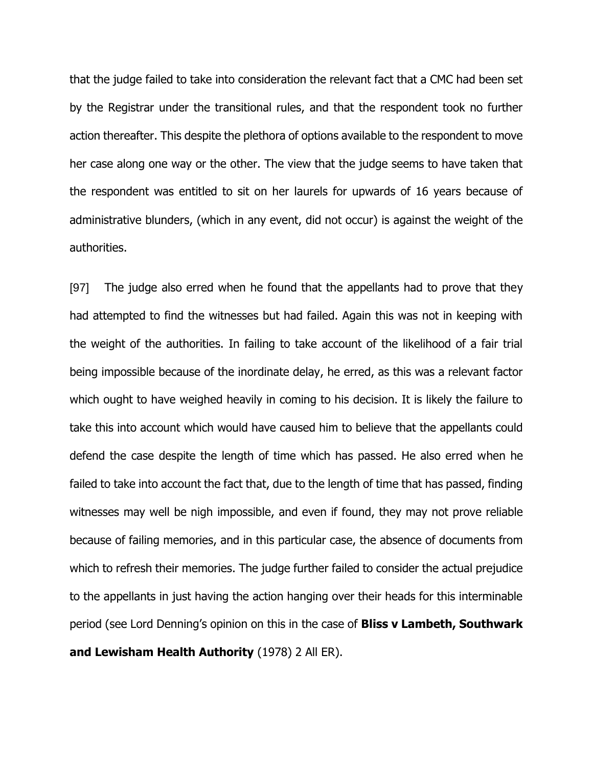that the judge failed to take into consideration the relevant fact that a CMC had been set by the Registrar under the transitional rules, and that the respondent took no further action thereafter. This despite the plethora of options available to the respondent to move her case along one way or the other. The view that the judge seems to have taken that the respondent was entitled to sit on her laurels for upwards of 16 years because of administrative blunders, (which in any event, did not occur) is against the weight of the authorities.

[97] The judge also erred when he found that the appellants had to prove that they had attempted to find the witnesses but had failed. Again this was not in keeping with the weight of the authorities. In failing to take account of the likelihood of a fair trial being impossible because of the inordinate delay, he erred, as this was a relevant factor which ought to have weighed heavily in coming to his decision. It is likely the failure to take this into account which would have caused him to believe that the appellants could defend the case despite the length of time which has passed. He also erred when he failed to take into account the fact that, due to the length of time that has passed, finding witnesses may well be nigh impossible, and even if found, they may not prove reliable because of failing memories, and in this particular case, the absence of documents from which to refresh their memories. The judge further failed to consider the actual prejudice to the appellants in just having the action hanging over their heads for this interminable period (see Lord Denning's opinion on this in the case of **Bliss v Lambeth, Southwark and Lewisham Health Authority** (1978) 2 All ER).